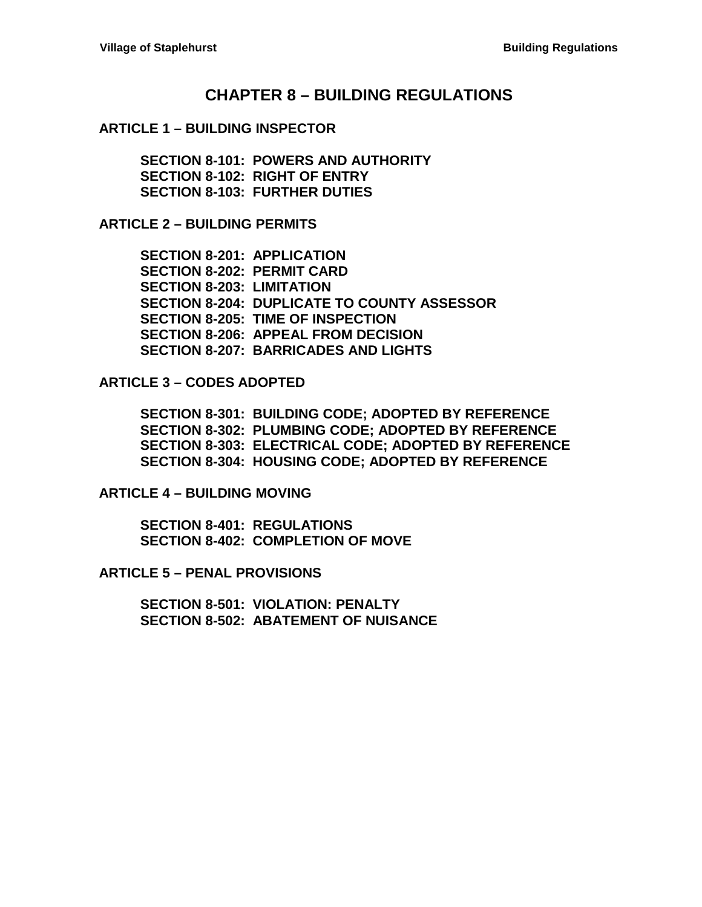## **CHAPTER 8 – [BUILDING REGULATIONS](#page-2-0)**

#### **ARTICLE 1 – [BUILDING INSPECTOR](#page-2-1)**

**[SECTION 8-101: POWERS AND AUTHORITY](#page-2-2) [SECTION 8-102: RIGHT OF ENTRY](#page-2-3) [SECTION 8-103: FURTHER DUTIES](#page-3-0)**

**ARTICLE 2 – [BUILDING PERMITS](#page-4-0)**

**[SECTION 8-201: APPLICATION](#page-4-1) [SECTION 8-202: PERMIT CARD](#page-4-2) [SECTION 8-203: LIMITATION](#page-4-3) [SECTION 8-204: DUPLICATE TO COUNTY ASSESSOR](#page-4-4) [SECTION 8-205: TIME OF INSPECTION](#page-4-5) [SECTION 8-206: APPEAL FROM DECISION](#page-5-0) [SECTION 8-207: BARRICADES AND](#page-5-1) LIGHTS**

**ARTICLE 3 – [CODES ADOPTED](#page-6-0)**

**[SECTION 8-301: BUILDING CODE;](#page-6-1) ADOPTED BY REFERENCE [SECTION 8-302: PLUMBING CODE;](#page-6-2) ADOPTED BY REFERENCE [SECTION 8-303: ELECTRICAL CODE; ADOPTED BY REFERENCE](#page-6-3) [SECTION 8-304: HOUSING CODE; ADOPTED BY REFERENCE](#page-6-4)**

**ARTICLE 4 – [BUILDING MOVING](#page-8-0)**

**[SECTION 8-401: REGULATIONS](#page-8-1) [SECTION 8-402: COMPLETION OF MOVE](#page-8-2)**

**ARTICLE 5 – [PENAL PROVISIONS](#page-10-0)**

**[SECTION 8-501: VIOLATION: PENALTY](#page-10-1) [SECTION 8-502: ABATEMENT OF NUISANCE](#page-10-2)**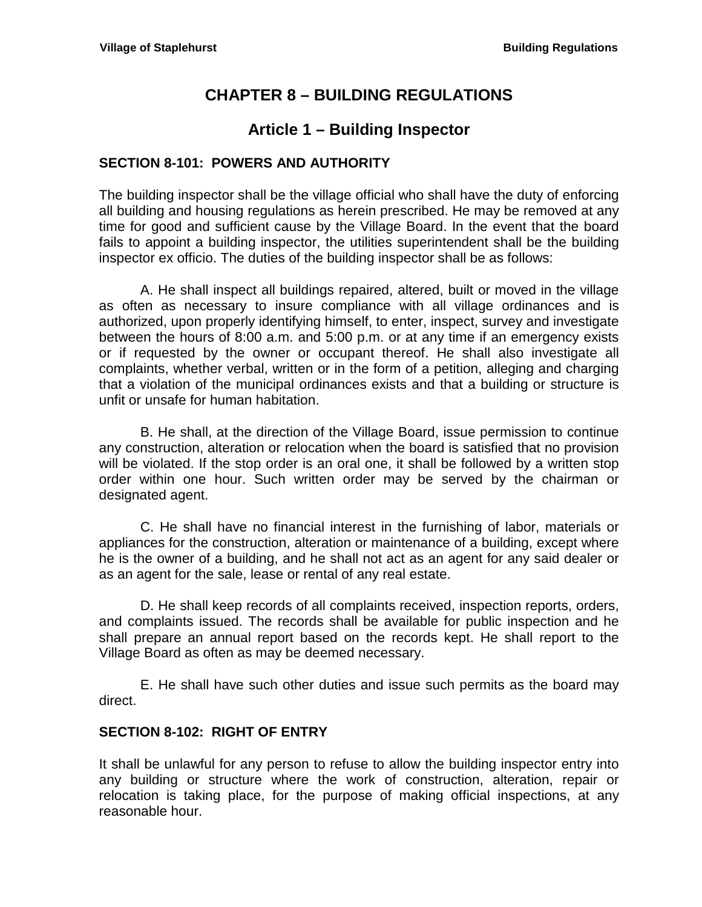# **CHAPTER 8 – BUILDING REGULATIONS**

## **Article 1 – Building Inspector**

## <span id="page-2-2"></span><span id="page-2-1"></span><span id="page-2-0"></span>**SECTION 8-101: POWERS AND AUTHORITY**

The building inspector shall be the village official who shall have the duty of enforcing all building and housing regulations as herein prescribed. He may be removed at any time for good and sufficient cause by the Village Board. In the event that the board fails to appoint a building inspector, the utilities superintendent shall be the building inspector ex officio. The duties of the building inspector shall be as follows:

A. He shall inspect all buildings repaired, altered, built or moved in the village as often as necessary to insure compliance with all village ordinances and is authorized, upon properly identifying himself, to enter, inspect, survey and investigate between the hours of 8:00 a.m. and 5:00 p.m. or at any time if an emergency exists or if requested by the owner or occupant thereof. He shall also investigate all complaints, whether verbal, written or in the form of a petition, alleging and charging that a violation of the municipal ordinances exists and that a building or structure is unfit or unsafe for human habitation.

B. He shall, at the direction of the Village Board, issue permission to continue any construction, alteration or relocation when the board is satisfied that no provision will be violated. If the stop order is an oral one, it shall be followed by a written stop order within one hour. Such written order may be served by the chairman or designated agent.

C. He shall have no financial interest in the furnishing of labor, materials or appliances for the construction, alteration or maintenance of a building, except where he is the owner of a building, and he shall not act as an agent for any said dealer or as an agent for the sale, lease or rental of any real estate.

D. He shall keep records of all complaints received, inspection reports, orders, and complaints issued. The records shall be available for public inspection and he shall prepare an annual report based on the records kept. He shall report to the Village Board as often as may be deemed necessary.

E. He shall have such other duties and issue such permits as the board may direct.

## <span id="page-2-3"></span>**SECTION 8-102: RIGHT OF ENTRY**

It shall be unlawful for any person to refuse to allow the building inspector entry into any building or structure where the work of construction, alteration, repair or relocation is taking place, for the purpose of making official inspections, at any reasonable hour.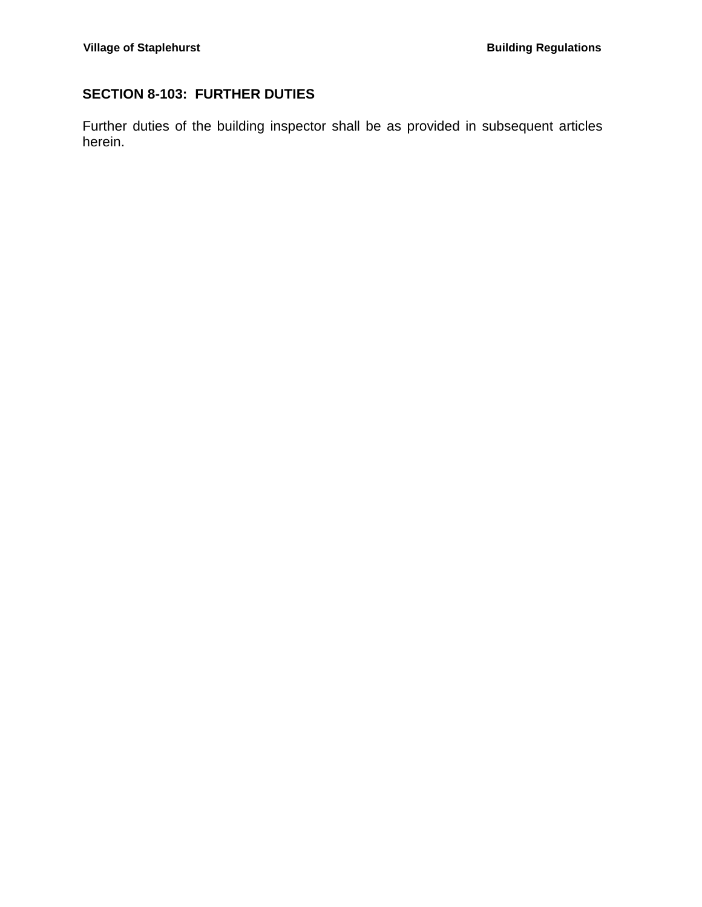## <span id="page-3-0"></span>**SECTION 8-103: FURTHER DUTIES**

Further duties of the building inspector shall be as provided in subsequent articles herein.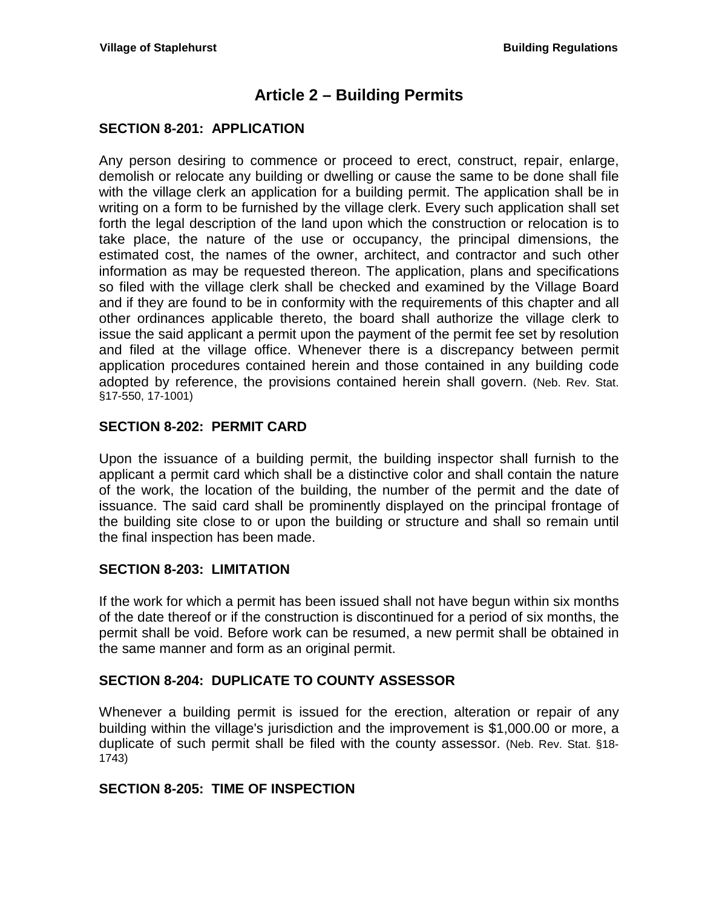## **Article 2 – Building Permits**

## <span id="page-4-1"></span><span id="page-4-0"></span>**SECTION 8-201: APPLICATION**

Any person desiring to commence or proceed to erect, construct, repair, enlarge, demolish or relocate any building or dwelling or cause the same to be done shall file with the village clerk an application for a building permit. The application shall be in writing on a form to be furnished by the village clerk. Every such application shall set forth the legal description of the land upon which the construction or relocation is to take place, the nature of the use or occupancy, the principal dimensions, the estimated cost, the names of the owner, architect, and contractor and such other information as may be requested thereon. The application, plans and specifications so filed with the village clerk shall be checked and examined by the Village Board and if they are found to be in conformity with the requirements of this chapter and all other ordinances applicable thereto, the board shall authorize the village clerk to issue the said applicant a permit upon the payment of the permit fee set by resolution and filed at the village office. Whenever there is a discrepancy between permit application procedures contained herein and those contained in any building code adopted by reference, the provisions contained herein shall govern. (Neb. Rev. Stat. §17-550, 17-1001)

## <span id="page-4-2"></span>**SECTION 8-202: PERMIT CARD**

Upon the issuance of a building permit, the building inspector shall furnish to the applicant a permit card which shall be a distinctive color and shall contain the nature of the work, the location of the building, the number of the permit and the date of issuance. The said card shall be prominently displayed on the principal frontage of the building site close to or upon the building or structure and shall so remain until the final inspection has been made.

### <span id="page-4-3"></span>**SECTION 8-203: LIMITATION**

If the work for which a permit has been issued shall not have begun within six months of the date thereof or if the construction is discontinued for a period of six months, the permit shall be void. Before work can be resumed, a new permit shall be obtained in the same manner and form as an original permit.

### <span id="page-4-4"></span>**SECTION 8-204: DUPLICATE TO COUNTY ASSESSOR**

Whenever a building permit is issued for the erection, alteration or repair of any building within the village's jurisdiction and the improvement is \$1,000.00 or more, a duplicate of such permit shall be filed with the county assessor. (Neb. Rev. Stat. §18- 1743)

### <span id="page-4-5"></span>**SECTION 8-205: TIME OF INSPECTION**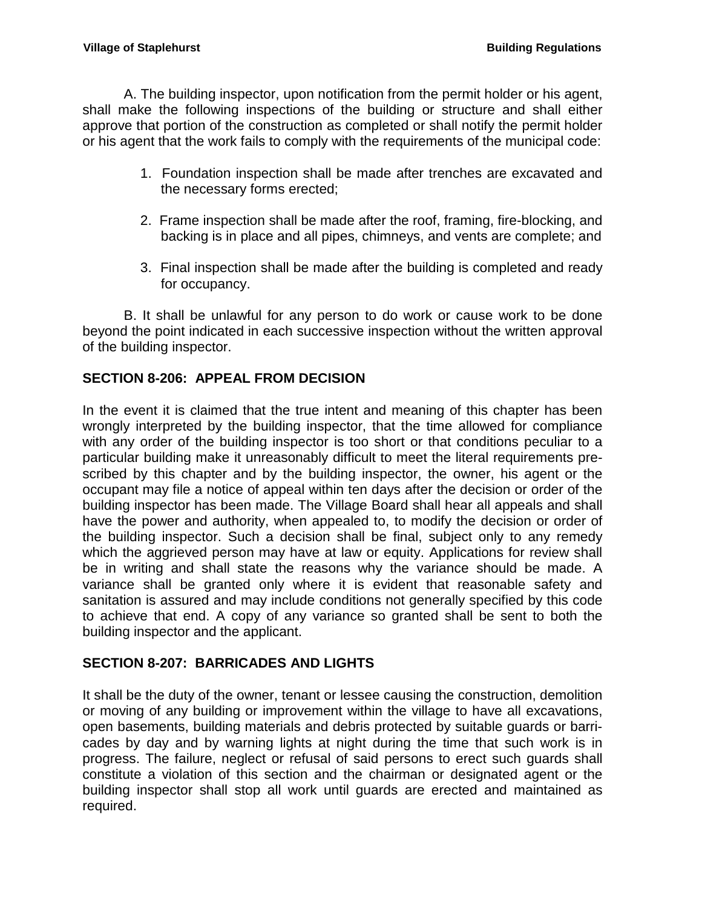A. The building inspector, upon notification from the permit holder or his agent, shall make the following inspections of the building or structure and shall either approve that portion of the construction as completed or shall notify the permit holder or his agent that the work fails to comply with the requirements of the municipal code:

- 1. Foundation inspection shall be made after trenches are excavated and the necessary forms erected;
- 2. Frame inspection shall be made after the roof, framing, fire-blocking, and backing is in place and all pipes, chimneys, and vents are complete; and
- 3. Final inspection shall be made after the building is completed and ready for occupancy.

B. It shall be unlawful for any person to do work or cause work to be done beyond the point indicated in each successive inspection without the written approval of the building inspector.

## <span id="page-5-0"></span>**SECTION 8-206: APPEAL FROM DECISION**

In the event it is claimed that the true intent and meaning of this chapter has been wrongly interpreted by the building inspector, that the time allowed for compliance with any order of the building inspector is too short or that conditions peculiar to a particular building make it unreasonably difficult to meet the literal requirements prescribed by this chapter and by the building inspector, the owner, his agent or the occupant may file a notice of appeal within ten days after the decision or order of the building inspector has been made. The Village Board shall hear all appeals and shall have the power and authority, when appealed to, to modify the decision or order of the building inspector. Such a decision shall be final, subject only to any remedy which the aggrieved person may have at law or equity. Applications for review shall be in writing and shall state the reasons why the variance should be made. A variance shall be granted only where it is evident that reasonable safety and sanitation is assured and may include conditions not generally specified by this code to achieve that end. A copy of any variance so granted shall be sent to both the building inspector and the applicant.

## <span id="page-5-1"></span>**SECTION 8-207: BARRICADES AND LIGHTS**

It shall be the duty of the owner, tenant or lessee causing the construction, demolition or moving of any building or improvement within the village to have all excavations, open basements, building materials and debris protected by suitable guards or barricades by day and by warning lights at night during the time that such work is in progress. The failure, neglect or refusal of said persons to erect such guards shall constitute a violation of this section and the chairman or designated agent or the building inspector shall stop all work until guards are erected and maintained as required.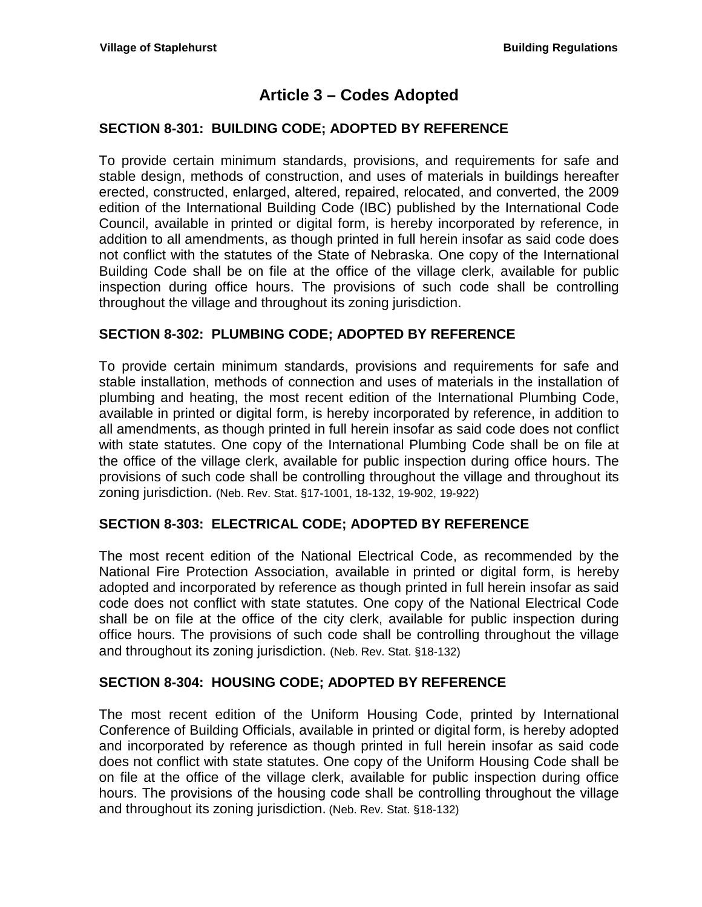## **Article 3 – Codes Adopted**

### <span id="page-6-1"></span><span id="page-6-0"></span>**SECTION 8-301: BUILDING CODE; ADOPTED BY REFERENCE**

To provide certain minimum standards, provisions, and requirements for safe and stable design, methods of construction, and uses of materials in buildings hereafter erected, constructed, enlarged, altered, repaired, relocated, and converted, the 2009 edition of the International Building Code (IBC) published by the International Code Council, available in printed or digital form, is hereby incorporated by reference, in addition to all amendments, as though printed in full herein insofar as said code does not conflict with the statutes of the State of Nebraska. One copy of the International Building Code shall be on file at the office of the village clerk, available for public inspection during office hours. The provisions of such code shall be controlling throughout the village and throughout its zoning jurisdiction.

### <span id="page-6-2"></span>**SECTION 8-302: PLUMBING CODE; ADOPTED BY REFERENCE**

To provide certain minimum standards, provisions and requirements for safe and stable installation, methods of connection and uses of materials in the installation of plumbing and heating, the most recent edition of the International Plumbing Code, available in printed or digital form, is hereby incorporated by reference, in addition to all amendments, as though printed in full herein insofar as said code does not conflict with state statutes. One copy of the International Plumbing Code shall be on file at the office of the village clerk, available for public inspection during office hours. The provisions of such code shall be controlling throughout the village and throughout its zoning jurisdiction. (Neb. Rev. Stat. §17-1001, 18-132, 19-902, 19-922)

### <span id="page-6-3"></span>**SECTION 8-303: ELECTRICAL CODE; ADOPTED BY REFERENCE**

The most recent edition of the National Electrical Code, as recommended by the National Fire Protection Association, available in printed or digital form, is hereby adopted and incorporated by reference as though printed in full herein insofar as said code does not conflict with state statutes. One copy of the National Electrical Code shall be on file at the office of the city clerk, available for public inspection during office hours. The provisions of such code shall be controlling throughout the village and throughout its zoning jurisdiction. (Neb. Rev. Stat. §18-132)

### <span id="page-6-4"></span>**SECTION 8-304: HOUSING CODE; ADOPTED BY REFERENCE**

The most recent edition of the Uniform Housing Code, printed by International Conference of Building Officials, available in printed or digital form, is hereby adopted and incorporated by reference as though printed in full herein insofar as said code does not conflict with state statutes. One copy of the Uniform Housing Code shall be on file at the office of the village clerk, available for public inspection during office hours. The provisions of the housing code shall be controlling throughout the village and throughout its zoning jurisdiction. (Neb. Rev. Stat. §18-132)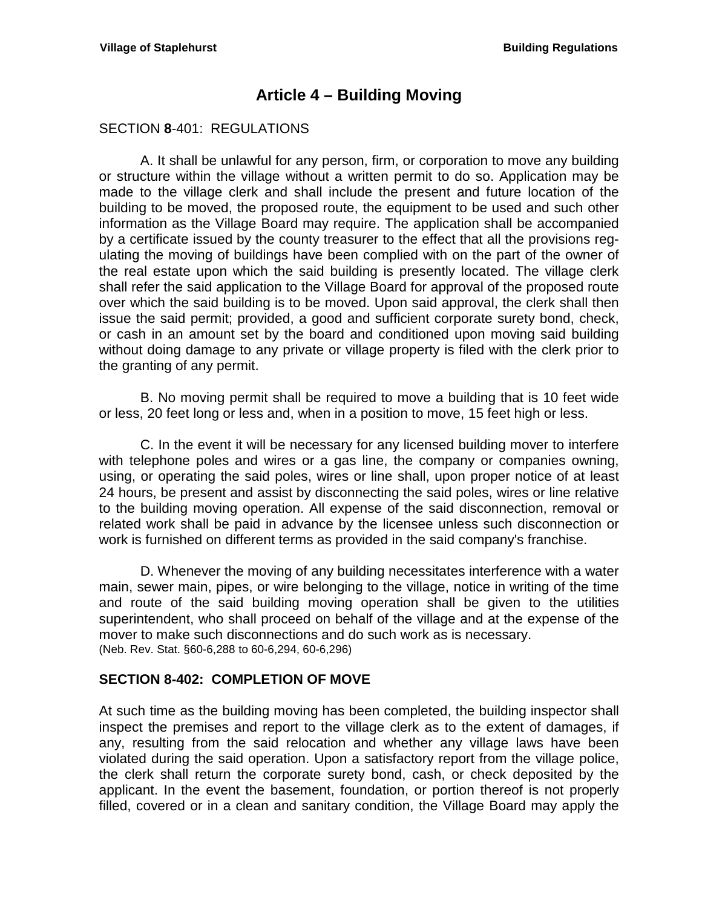## **Article 4 – Building Moving**

#### <span id="page-8-1"></span><span id="page-8-0"></span>SECTION **8**-401: REGULATIONS

A. It shall be unlawful for any person, firm, or corporation to move any building or structure within the village without a written permit to do so. Application may be made to the village clerk and shall include the present and future location of the building to be moved, the proposed route, the equipment to be used and such other information as the Village Board may require. The application shall be accompanied by a certificate issued by the county treasurer to the effect that all the provisions regulating the moving of buildings have been complied with on the part of the owner of the real estate upon which the said building is presently located. The village clerk shall refer the said application to the Village Board for approval of the proposed route over which the said building is to be moved. Upon said approval, the clerk shall then issue the said permit; provided, a good and sufficient corporate surety bond, check, or cash in an amount set by the board and conditioned upon moving said building without doing damage to any private or village property is filed with the clerk prior to the granting of any permit.

B. No moving permit shall be required to move a building that is 10 feet wide or less, 20 feet long or less and, when in a position to move, 15 feet high or less.

C. In the event it will be necessary for any licensed building mover to interfere with telephone poles and wires or a gas line, the company or companies owning, using, or operating the said poles, wires or line shall, upon proper notice of at least 24 hours, be present and assist by disconnecting the said poles, wires or line relative to the building moving operation. All expense of the said disconnection, removal or related work shall be paid in advance by the licensee unless such disconnection or work is furnished on different terms as provided in the said company's franchise.

D. Whenever the moving of any building necessitates interference with a water main, sewer main, pipes, or wire belonging to the village, notice in writing of the time and route of the said building moving operation shall be given to the utilities superintendent, who shall proceed on behalf of the village and at the expense of the mover to make such disconnections and do such work as is necessary. (Neb. Rev. Stat. §60-6,288 to 60-6,294, 60-6,296)

### <span id="page-8-2"></span>**SECTION 8-402: COMPLETION OF MOVE**

At such time as the building moving has been completed, the building inspector shall inspect the premises and report to the village clerk as to the extent of damages, if any, resulting from the said relocation and whether any village laws have been violated during the said operation. Upon a satisfactory report from the village police, the clerk shall return the corporate surety bond, cash, or check deposited by the applicant. In the event the basement, foundation, or portion thereof is not properly filled, covered or in a clean and sanitary condition, the Village Board may apply the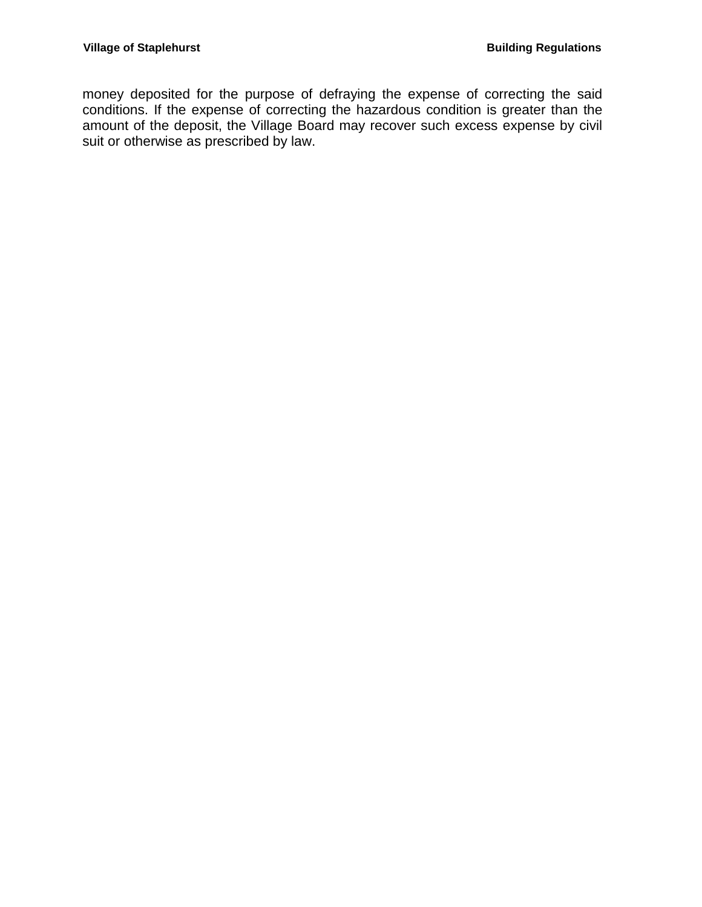money deposited for the purpose of defraying the expense of correcting the said conditions. If the expense of correcting the hazardous condition is greater than the amount of the deposit, the Village Board may recover such excess expense by civil suit or otherwise as prescribed by law.